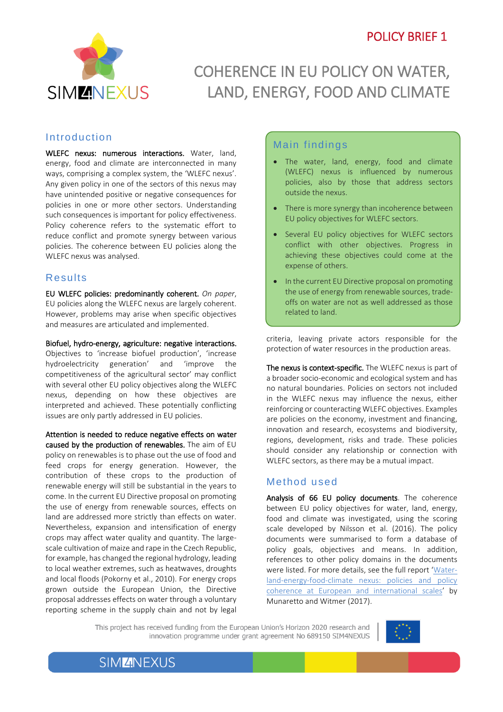l



# COHERENCE IN EU POLICY ON WATER, LAND, ENERGY, FOOD AND CLIMATE

#### Introduction

WLEFC nexus: numerous interactions. Water, land, energy, food and climate are interconnected in many ways, comprising a complex system, the 'WLEFC nexus'. Any given policy in one of the sectors of this nexus may have unintended positive or negative consequences for policies in one or more other sectors. Understanding such consequences is important for policy effectiveness. Policy coherence refers to the systematic effort to reduce conflict and promote synergy between various policies. The coherence between EU policies along the WLEFC nexus was analysed.

### Results

EU WLEFC policies: predominantly coherent. *On paper*, EU policies along the WLEFC nexus are largely coherent. However, problems may arise when specific objectives and measures are articulated and implemented.

Biofuel, hydro-energy, agriculture: negative interactions. Objectives to 'increase biofuel production', 'increase<br>hydroelectricity generation' and 'improve the hydroelectricity generation' and competitiveness of the agricultural sector' may conflict with several other EU policy objectives along the WLEFC nexus, depending on how these objectives are interpreted and achieved. These potentially conflicting issues are only partly addressed in EU policies.

Attention is needed to reduce negative effects on water caused by the production of renewables. The aim of EU policy on renewables is to phase out the use of food and feed crops for energy generation. However, the contribution of these crops to the production of renewable energy will still be substantial in the years to come. In the current EU Directive proposal on promoting the use of energy from renewable sources, effects on land are addressed more strictly than effects on water. Nevertheless, expansion and intensification of energy crops may affect water quality and quantity. The largescale cultivation of maize and rape in the Czech Republic, for example, has changed the regional hydrology, leading to local weather extremes, such as heatwaves, droughts and local floods (Pokorny et al., 2010). For energy crops grown outside the European Union, the Directive proposal addresses effects on water through a voluntary reporting scheme in the supply chain and not by legal

## Main findings

- The water, land, energy, food and climate<br>(WLEEC) nexus is influenced by numerous (WLEFC) nexus is influenced by numerous policies, also by those that address sectors outside the nexus.
- There is more synergy than incoherence between EU policy objectives for WLEFC sectors.
- Several EU policy objectives for WLEFC sectors conflict with other objectives. Progress in achieving these objectives could come at the expense of others.
- In the current EU Directive proposal on promoting the use of energy from renewable sources, tradeoffs on water are not as well addressed as those related to land.

criteria, leaving private actors responsible for the protection of water resources in the production areas.

The nexus is context-specific. The WLEFC nexus is part of a broader socio-economic and ecological system and has no natural boundaries. Policies on sectors not included in the WLEFC nexus may influence the nexus, either reinforcing or counteracting WLEFC objectives. Examples are policies on the economy, investment and financing, innovation and research, ecosystems and biodiversity, regions, development, risks and trade. These policies should consider any relationship or connection with WLEFC sectors, as there may be a mutual impact.

#### Method used

Analysis of 66 EU policy documents. The coherence between EU policy objectives for water, land, energy, food and climate was investigated, using the scoring scale developed by Nilsson et al. (2016). The policy documents were summarised to form a database of policy goals, objectives and means. In addition, references to other policy domains in the documents were listed. For more details, see the full report '[Water](http://www.sim4nexus.eu/page.php?wert=Deliverables)[land-energy-food-climate nexus: policies and policy](http://www.sim4nexus.eu/page.php?wert=Deliverables)  [coherence at European and international scales](http://www.sim4nexus.eu/page.php?wert=Deliverables)' by Munaretto and Witmer (2017).

This project has received funding from the European Union's Horizon 2020 research and innovation programme under grant agreement No 689150 SIM4NEXUS